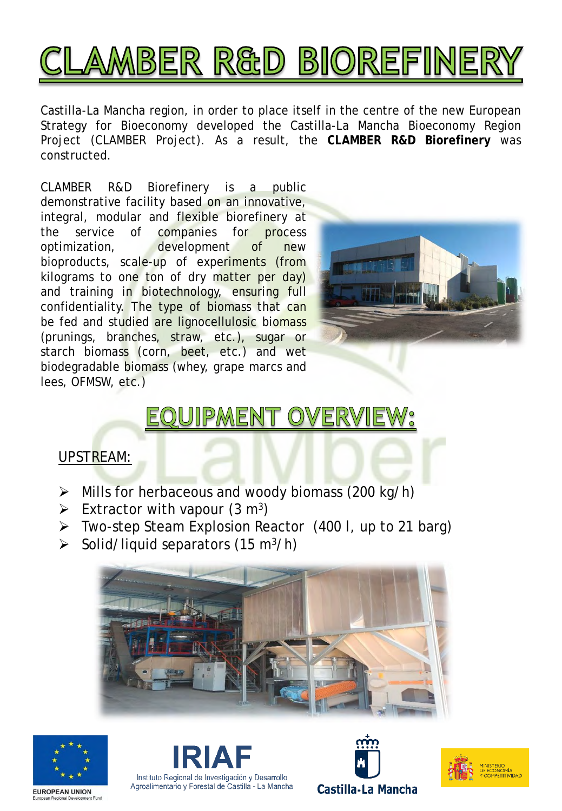

Castilla-La Mancha region, in order to place itself in the centre of the new European Strategy for Bioeconomy developed the Castilla-La Mancha Bioeconomy Region Project (CLAMBER Project). As a result, the **CLAMBER R&D Biorefinery** was constructed.

CLAMBER R&D Biorefinery is a public demonstrative facility based on an innovative, integral, modular and flexible biorefinery at the service of companies for process optimization, development of new bioproducts, scale-up of experiments (from kilograms to one ton of dry matter per day) and training in biotechnology, ensuring full confidentiality. The type of biomass that can be fed and studied are lignocellulosic biomass (prunings, branches, straw, etc.), sugar or starch biomass (corn, beet, etc.) and wet biodegradable biomass (whey, grape marcs and lees, OFMSW, etc.)



# EQUIPMENT OVERVIEW:

### UPSTREAM:

- ➢ Mills for herbaceous and woody biomass (200 kg/h)
- $\triangleright$  Extractor with vapour (3 m<sup>3</sup>)
- ➢ Two-step Steam Explosion Reactor (400 l, up to 21 barg)
- $\triangleright$  Solid/liquid separators (15 m<sup>3</sup>/h)











**EUROPEAN UNION**